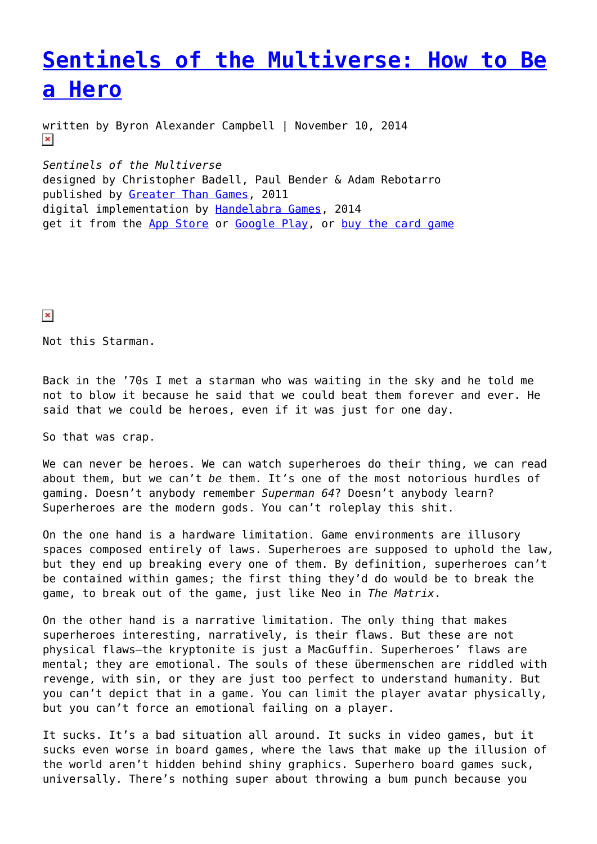# **[Sentinels of the Multiverse: How to Be](https://entropymag.org/sentinels-of-the-multiverse-how-to-be-a-hero/) [a Hero](https://entropymag.org/sentinels-of-the-multiverse-how-to-be-a-hero/)**

written by Byron Alexander Campbell | November 10, 2014  $\pmb{\times}$ 

*Sentinels of the Multiverse* designed by Christopher Badell, Paul Bender & Adam Rebotarro published by [Greater Than Games,](https://greaterthangames.com/) 2011 digital implementation by [Handelabra Games,](http://handelabra.com/) 2014 get it from the [App Store](http://geni.us/sotm) or [Google Play](https://play.google.com/store/apps/details?id=com.handelabra.Sentinels), or [buy the card game](http://www.amazon.com/Sentinels-Multiverse-Enhanced-Card-Edition/dp/B0095ZFA5Q/ref=sr_1_1?ie=UTF8&qid=1413612276)

 $\pmb{\times}$ 

Not this Starman.

Back in the '70s I met a starman who was waiting in the sky and he told me not to blow it because he said that we could beat them forever and ever. He said that we could be heroes, even if it was just for one day.

So that was crap.

We can never be heroes. We can watch superheroes do their thing, we can read about them, but we can't *be* them. It's one of the most notorious hurdles of gaming. Doesn't anybody remember *Superman 64*? Doesn't anybody learn? Superheroes are the modern gods. You can't roleplay this shit.

On the one hand is a hardware limitation. Game environments are illusory spaces composed entirely of laws. Superheroes are supposed to uphold the law, but they end up breaking every one of them. By definition, superheroes can't be contained within games; the first thing they'd do would be to break the game, to break out of the game, just like Neo in *The Matrix*.

On the other hand is a narrative limitation. The only thing that makes superheroes interesting, narratively, is their flaws. But these are not physical flaws–the kryptonite is just a MacGuffin. Superheroes' flaws are mental; they are emotional. The souls of these übermenschen are riddled with revenge, with sin, or they are just too perfect to understand humanity. But you can't depict that in a game. You can limit the player avatar physically, but you can't force an emotional failing on a player.

It sucks. It's a bad situation all around. It sucks in video games, but it sucks even worse in board games, where the laws that make up the illusion of the world aren't hidden behind shiny graphics. Superhero board games suck, universally. There's nothing super about throwing a bum punch because you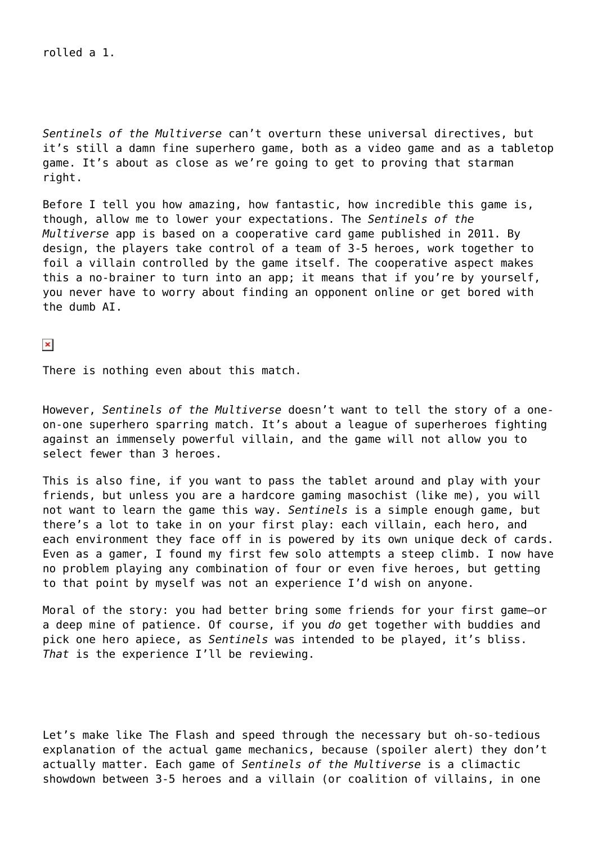#### rolled a 1.

*Sentinels of the Multiverse* can't overturn these universal directives, but it's still a damn fine superhero game, both as a video game and as a tabletop game. It's about as close as we're going to get to proving that starman right.

Before I tell you how amazing, how fantastic, how incredible this game is, though, allow me to lower your expectations. The *Sentinels of the Multiverse* app is based on a cooperative card game published in 2011. By design, the players take control of a team of 3-5 heroes, work together to foil a villain controlled by the game itself. The cooperative aspect makes this a no-brainer to turn into an app; it means that if you're by yourself, you never have to worry about finding an opponent online or get bored with the dumb AI.

 $\pmb{\times}$ 

There is nothing even about this match.

However, *Sentinels of the Multiverse* doesn't want to tell the story of a oneon-one superhero sparring match. It's about a league of superheroes fighting against an immensely powerful villain, and the game will not allow you to select fewer than 3 heroes.

This is also fine, if you want to pass the tablet around and play with your friends, but unless you are a hardcore gaming masochist (like me), you will not want to learn the game this way. *Sentinels* is a simple enough game, but there's a lot to take in on your first play: each villain, each hero, and each environment they face off in is powered by its own unique deck of cards. Even as a gamer, I found my first few solo attempts a steep climb. I now have no problem playing any combination of four or even five heroes, but getting to that point by myself was not an experience I'd wish on anyone.

Moral of the story: you had better bring some friends for your first game–or a deep mine of patience. Of course, if you *do* get together with buddies and pick one hero apiece, as *Sentinels* was intended to be played, it's bliss. *That* is the experience I'll be reviewing.

Let's make like The Flash and speed through the necessary but oh-so-tedious explanation of the actual game mechanics, because (spoiler alert) they don't actually matter. Each game of *Sentinels of the Multiverse* is a climactic showdown between 3-5 heroes and a villain (or coalition of villains, in one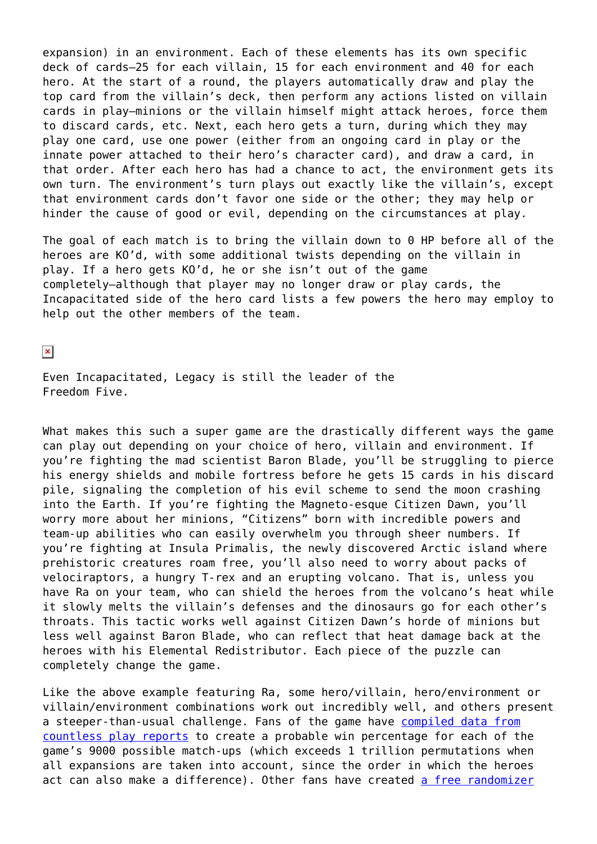expansion) in an environment. Each of these elements has its own specific deck of cards–25 for each villain, 15 for each environment and 40 for each hero. At the start of a round, the players automatically draw and play the top card from the villain's deck, then perform any actions listed on villain cards in play–minions or the villain himself might attack heroes, force them to discard cards, etc. Next, each hero gets a turn, during which they may play one card, use one power (either from an ongoing card in play or the innate power attached to their hero's character card), and draw a card, in that order. After each hero has had a chance to act, the environment gets its own turn. The environment's turn plays out exactly like the villain's, except that environment cards don't favor one side or the other; they may help or hinder the cause of good or evil, depending on the circumstances at play.

The goal of each match is to bring the villain down to 0 HP before all of the heroes are KO'd, with some additional twists depending on the villain in play. If a hero gets KO'd, he or she isn't out of the game completely–although that player may no longer draw or play cards, the Incapacitated side of the hero card lists a few powers the hero may employ to help out the other members of the team.

 $\pmb{\times}$ 

Even Incapacitated, Legacy is still the leader of the Freedom Five.

What makes this such a super game are the drastically different ways the game can play out depending on your choice of hero, villain and environment. If you're fighting the mad scientist Baron Blade, you'll be struggling to pierce his energy shields and mobile fortress before he gets 15 cards in his discard pile, signaling the completion of his evil scheme to send the moon crashing into the Earth. If you're fighting the Magneto-esque Citizen Dawn, you'll worry more about her minions, "Citizens" born with incredible powers and team-up abilities who can easily overwhelm you through sheer numbers. If you're fighting at Insula Primalis, the newly discovered Arctic island where prehistoric creatures roam free, you'll also need to worry about packs of velociraptors, a hungry T-rex and an erupting volcano. That is, unless you have Ra on your team, who can shield the heroes from the volcano's heat while it slowly melts the villain's defenses and the dinosaurs go for each other's throats. This tactic works well against Citizen Dawn's horde of minions but less well against Baron Blade, who can reflect that heat damage back at the heroes with his Elemental Redistributor. Each piece of the puzzle can completely change the game.

Like the above example featuring Ra, some hero/villain, hero/environment or villain/environment combinations work out incredibly well, and others present a steeper-than-usual challenge. Fans of the game have [compiled data from](http://x.gray.org/sentinels-of-the-multiverse-difficulty-scores.html) [countless play reports](http://x.gray.org/sentinels-of-the-multiverse-difficulty-scores.html) to create a probable win percentage for each of the game's 9000 possible match-ups (which exceeds 1 trillion permutations when all expansions are taken into account, since the order in which the heroes act can also make a difference). Other fans have created [a free randomizer](https://itunes.apple.com/us/app/sentinels-multiverse-randomizer/id791098197?uo=4&mt=8&at=10lazE)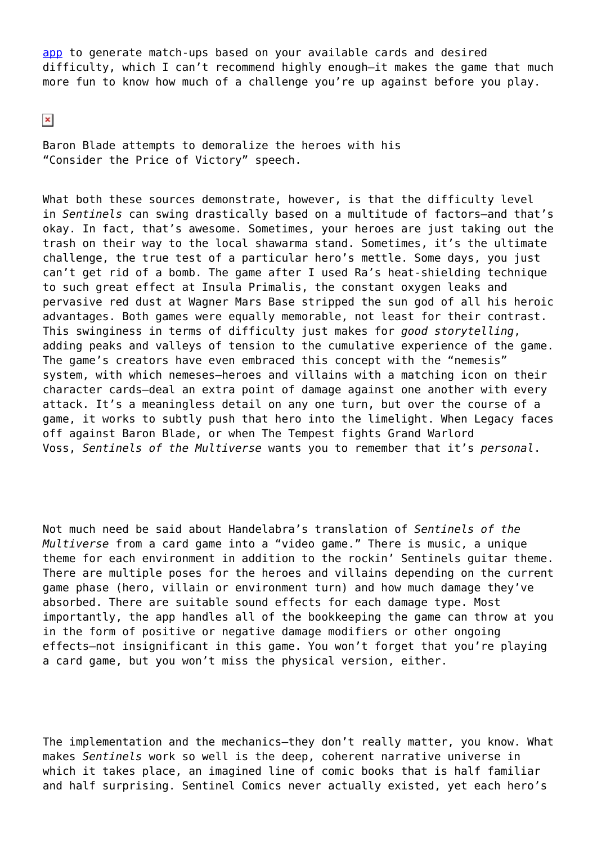[app](https://itunes.apple.com/us/app/sentinels-multiverse-randomizer/id791098197?uo=4&mt=8&at=10lazE) to generate match-ups based on your available cards and desired difficulty, which I can't recommend highly enough–it makes the game that much more fun to know how much of a challenge you're up against before you play.

 $\pmb{\times}$ 

Baron Blade attempts to demoralize the heroes with his "Consider the Price of Victory" speech.

What both these sources demonstrate, however, is that the difficulty level in *Sentinels* can swing drastically based on a multitude of factors–and that's okay. In fact, that's awesome. Sometimes, your heroes are just taking out the trash on their way to the local shawarma stand. Sometimes, it's the ultimate challenge, the true test of a particular hero's mettle. Some days, you just can't get rid of a bomb. The game after I used Ra's heat-shielding technique to such great effect at Insula Primalis, the constant oxygen leaks and pervasive red dust at Wagner Mars Base stripped the sun god of all his heroic advantages. Both games were equally memorable, not least for their contrast. This swinginess in terms of difficulty just makes for *good storytelling*, adding peaks and valleys of tension to the cumulative experience of the game. The game's creators have even embraced this concept with the "nemesis" system, with which nemeses–heroes and villains with a matching icon on their character cards–deal an extra point of damage against one another with every attack. It's a meaningless detail on any one turn, but over the course of a game, it works to subtly push that hero into the limelight. When Legacy faces off against Baron Blade, or when The Tempest fights Grand Warlord Voss, *Sentinels of the Multiverse* wants you to remember that it's *personal*.

Not much need be said about Handelabra's translation of *Sentinels of the Multiverse* from a card game into a "video game." There is music, a unique theme for each environment in addition to the rockin' Sentinels guitar theme. There are multiple poses for the heroes and villains depending on the current game phase (hero, villain or environment turn) and how much damage they've absorbed. There are suitable sound effects for each damage type. Most importantly, the app handles all of the bookkeeping the game can throw at you in the form of positive or negative damage modifiers or other ongoing effects–not insignificant in this game. You won't forget that you're playing a card game, but you won't miss the physical version, either.

The implementation and the mechanics–they don't really matter, you know. What makes *Sentinels* work so well is the deep, coherent narrative universe in which it takes place, an imagined line of comic books that is half familiar and half surprising. Sentinel Comics never actually existed, yet each hero's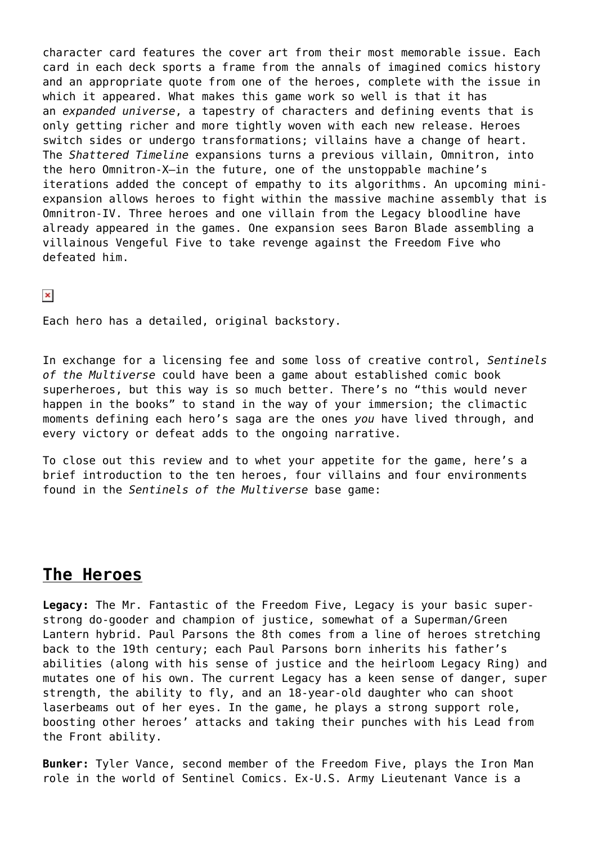character card features the cover art from their most memorable issue. Each card in each deck sports a frame from the annals of imagined comics history and an appropriate quote from one of the heroes, complete with the issue in which it appeared. What makes this game work so well is that it has an *expanded universe*, a tapestry of characters and defining events that is only getting richer and more tightly woven with each new release. Heroes switch sides or undergo transformations; villains have a change of heart. The *Shattered Timeline* expansions turns a previous villain, Omnitron, into the hero Omnitron-X–in the future, one of the unstoppable machine's iterations added the concept of empathy to its algorithms. An upcoming miniexpansion allows heroes to fight within the massive machine assembly that is Omnitron-IV. Three heroes and one villain from the Legacy bloodline have already appeared in the games. One expansion sees Baron Blade assembling a villainous Vengeful Five to take revenge against the Freedom Five who defeated him.

 $\pmb{\times}$ 

Each hero has a detailed, original backstory.

In exchange for a licensing fee and some loss of creative control, *Sentinels of the Multiverse* could have been a game about established comic book superheroes, but this way is so much better. There's no "this would never happen in the books" to stand in the way of your immersion; the climactic moments defining each hero's saga are the ones *you* have lived through, and every victory or defeat adds to the ongoing narrative.

To close out this review and to whet your appetite for the game, here's a brief introduction to the ten heroes, four villains and four environments found in the *Sentinels of the Multiverse* base game:

### **The Heroes**

**Legacy:** The Mr. Fantastic of the Freedom Five, Legacy is your basic superstrong do-gooder and champion of justice, somewhat of a Superman/Green Lantern hybrid. Paul Parsons the 8th comes from a line of heroes stretching back to the 19th century; each Paul Parsons born inherits his father's abilities (along with his sense of justice and the heirloom Legacy Ring) and mutates one of his own. The current Legacy has a keen sense of danger, super strength, the ability to fly, and an 18-year-old daughter who can shoot laserbeams out of her eyes. In the game, he plays a strong support role, boosting other heroes' attacks and taking their punches with his Lead from the Front ability.

**Bunker:** Tyler Vance, second member of the Freedom Five, plays the Iron Man role in the world of Sentinel Comics. Ex-U.S. Army Lieutenant Vance is a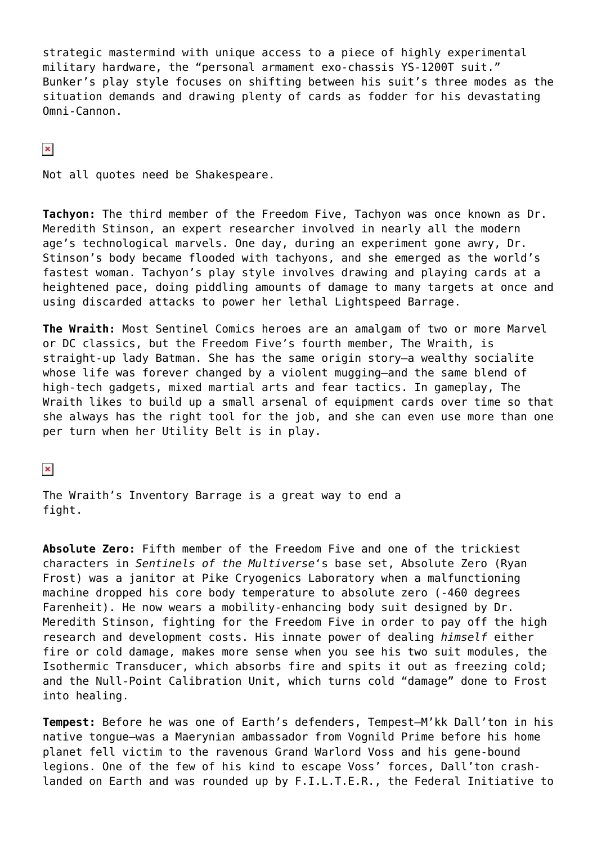strategic mastermind with unique access to a piece of highly experimental military hardware, the "personal armament exo-chassis YS-1200T suit." Bunker's play style focuses on shifting between his suit's three modes as the situation demands and drawing plenty of cards as fodder for his devastating Omni-Cannon.

 $\pmb{\times}$ 

Not all quotes need be Shakespeare.

**Tachyon:** The third member of the Freedom Five, Tachyon was once known as Dr. Meredith Stinson, an expert researcher involved in nearly all the modern age's technological marvels. One day, during an experiment gone awry, Dr. Stinson's body became flooded with tachyons, and she emerged as the world's fastest woman. Tachyon's play style involves drawing and playing cards at a heightened pace, doing piddling amounts of damage to many targets at once and using discarded attacks to power her lethal Lightspeed Barrage.

**The Wraith:** Most Sentinel Comics heroes are an amalgam of two or more Marvel or DC classics, but the Freedom Five's fourth member, The Wraith, is straight-up lady Batman. She has the same origin story–a wealthy socialite whose life was forever changed by a violent mugging–and the same blend of high-tech gadgets, mixed martial arts and fear tactics. In gameplay, The Wraith likes to build up a small arsenal of equipment cards over time so that she always has the right tool for the job, and she can even use more than one per turn when her Utility Belt is in play.

 $\pmb{\times}$ 

The Wraith's Inventory Barrage is a great way to end a fight.

**Absolute Zero:** Fifth member of the Freedom Five and one of the trickiest characters in *Sentinels of the Multiverse*'s base set, Absolute Zero (Ryan Frost) was a janitor at Pike Cryogenics Laboratory when a malfunctioning machine dropped his core body temperature to absolute zero (-460 degrees Farenheit). He now wears a mobility-enhancing body suit designed by Dr. Meredith Stinson, fighting for the Freedom Five in order to pay off the high research and development costs. His innate power of dealing *himself* either fire or cold damage, makes more sense when you see his two suit modules, the Isothermic Transducer, which absorbs fire and spits it out as freezing cold; and the Null-Point Calibration Unit, which turns cold "damage" done to Frost into healing.

**Tempest:** Before he was one of Earth's defenders, Tempest–M'kk Dall'ton in his native tongue–was a Maerynian ambassador from Vognild Prime before his home planet fell victim to the ravenous Grand Warlord Voss and his gene-bound legions. One of the few of his kind to escape Voss' forces, Dall'ton crashlanded on Earth and was rounded up by F.I.L.T.E.R., the Federal Initiative to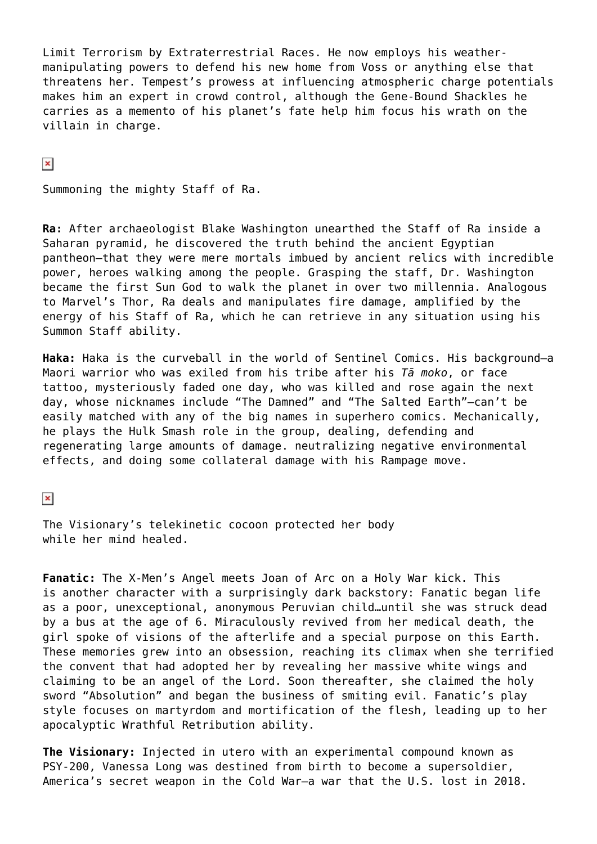Limit Terrorism by Extraterrestrial Races. He now employs his weathermanipulating powers to defend his new home from Voss or anything else that threatens her. Tempest's prowess at influencing atmospheric charge potentials makes him an expert in crowd control, although the Gene-Bound Shackles he carries as a memento of his planet's fate help him focus his wrath on the villain in charge.

 $\pmb{\times}$ 

Summoning the mighty Staff of Ra.

**Ra:** After archaeologist Blake Washington unearthed the Staff of Ra inside a Saharan pyramid, he discovered the truth behind the ancient Egyptian pantheon–that they were mere mortals imbued by ancient relics with incredible power, heroes walking among the people. Grasping the staff, Dr. Washington became the first Sun God to walk the planet in over two millennia. Analogous to Marvel's Thor, Ra deals and manipulates fire damage, amplified by the energy of his Staff of Ra, which he can retrieve in any situation using his Summon Staff ability.

**Haka:** Haka is the curveball in the world of Sentinel Comics. His background–a Maori warrior who was exiled from his tribe after his *Tā moko*, or face tattoo, mysteriously faded one day, who was killed and rose again the next day, whose nicknames include "The Damned" and "The Salted Earth"–can't be easily matched with any of the big names in superhero comics. Mechanically, he plays the Hulk Smash role in the group, dealing, defending and regenerating large amounts of damage. neutralizing negative environmental effects, and doing some collateral damage with his Rampage move.

 $\pmb{\times}$ 

The Visionary's telekinetic cocoon protected her body while her mind healed.

**Fanatic:** The X-Men's Angel meets Joan of Arc on a Holy War kick. This is another character with a surprisingly dark backstory: Fanatic began life as a poor, unexceptional, anonymous Peruvian child…until she was struck dead by a bus at the age of 6. Miraculously revived from her medical death, the girl spoke of visions of the afterlife and a special purpose on this Earth. These memories grew into an obsession, reaching its climax when she terrified the convent that had adopted her by revealing her massive white wings and claiming to be an angel of the Lord. Soon thereafter, she claimed the holy sword "Absolution" and began the business of smiting evil. Fanatic's play style focuses on martyrdom and mortification of the flesh, leading up to her apocalyptic Wrathful Retribution ability.

**The Visionary:** Injected in utero with an experimental compound known as PSY-200, Vanessa Long was destined from birth to become a supersoldier, America's secret weapon in the Cold War–a war that the U.S. lost in 2018.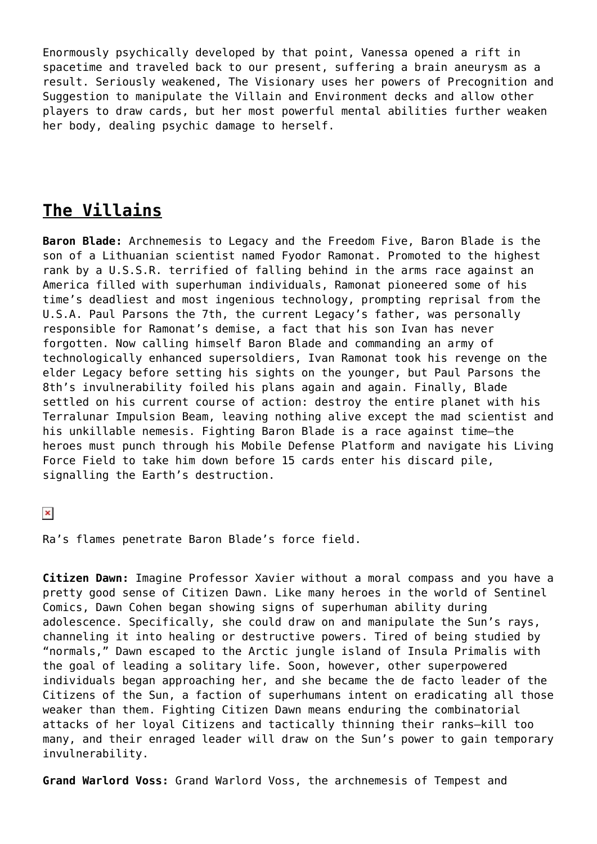Enormously psychically developed by that point, Vanessa opened a rift in spacetime and traveled back to our present, suffering a brain aneurysm as a result. Seriously weakened, The Visionary uses her powers of Precognition and Suggestion to manipulate the Villain and Environment decks and allow other players to draw cards, but her most powerful mental abilities further weaken her body, dealing psychic damage to herself.

# **The Villains**

**Baron Blade:** Archnemesis to Legacy and the Freedom Five, Baron Blade is the son of a Lithuanian scientist named Fyodor Ramonat. Promoted to the highest rank by a U.S.S.R. terrified of falling behind in the arms race against an America filled with superhuman individuals, Ramonat pioneered some of his time's deadliest and most ingenious technology, prompting reprisal from the U.S.A. Paul Parsons the 7th, the current Legacy's father, was personally responsible for Ramonat's demise, a fact that his son Ivan has never forgotten. Now calling himself Baron Blade and commanding an army of technologically enhanced supersoldiers, Ivan Ramonat took his revenge on the elder Legacy before setting his sights on the younger, but Paul Parsons the 8th's invulnerability foiled his plans again and again. Finally, Blade settled on his current course of action: destroy the entire planet with his Terralunar Impulsion Beam, leaving nothing alive except the mad scientist and his unkillable nemesis. Fighting Baron Blade is a race against time–the heroes must punch through his Mobile Defense Platform and navigate his Living Force Field to take him down before 15 cards enter his discard pile, signalling the Earth's destruction.

 $\pmb{\times}$ 

Ra's flames penetrate Baron Blade's force field.

**Citizen Dawn:** Imagine Professor Xavier without a moral compass and you have a pretty good sense of Citizen Dawn. Like many heroes in the world of Sentinel Comics, Dawn Cohen began showing signs of superhuman ability during adolescence. Specifically, she could draw on and manipulate the Sun's rays, channeling it into healing or destructive powers. Tired of being studied by "normals," Dawn escaped to the Arctic jungle island of Insula Primalis with the goal of leading a solitary life. Soon, however, other superpowered individuals began approaching her, and she became the de facto leader of the Citizens of the Sun, a faction of superhumans intent on eradicating all those weaker than them. Fighting Citizen Dawn means enduring the combinatorial attacks of her loyal Citizens and tactically thinning their ranks–kill too many, and their enraged leader will draw on the Sun's power to gain temporary invulnerability.

**Grand Warlord Voss:** Grand Warlord Voss, the archnemesis of Tempest and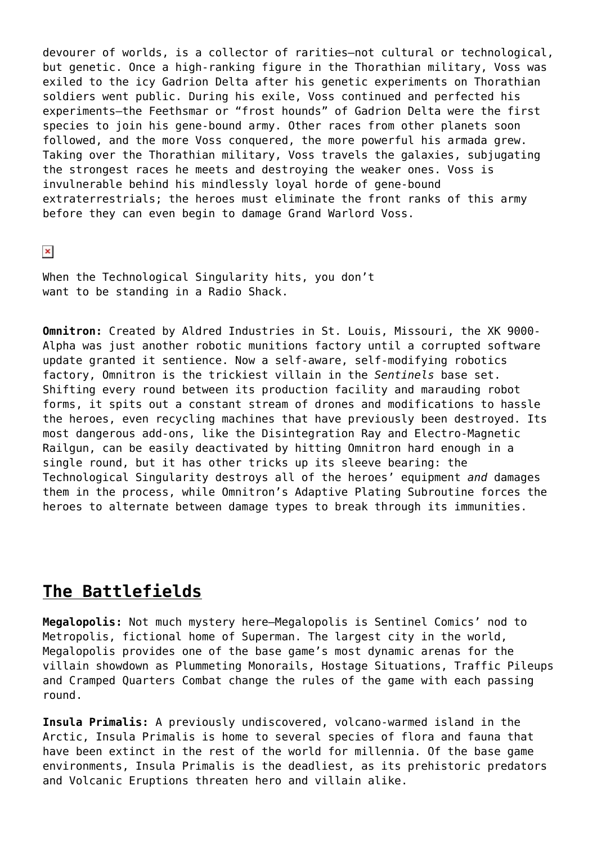devourer of worlds, is a collector of rarities–not cultural or technological, but genetic. Once a high-ranking figure in the Thorathian military, Voss was exiled to the icy Gadrion Delta after his genetic experiments on Thorathian soldiers went public. During his exile, Voss continued and perfected his experiments–the Feethsmar or "frost hounds" of Gadrion Delta were the first species to join his gene-bound army. Other races from other planets soon followed, and the more Voss conquered, the more powerful his armada grew. Taking over the Thorathian military, Voss travels the galaxies, subjugating the strongest races he meets and destroying the weaker ones. Voss is invulnerable behind his mindlessly loyal horde of gene-bound extraterrestrials; the heroes must eliminate the front ranks of this army before they can even begin to damage Grand Warlord Voss.

 $\pmb{\times}$ 

When the Technological Singularity hits, you don't want to be standing in a Radio Shack.

**Omnitron:** Created by Aldred Industries in St. Louis, Missouri, the XK 9000- Alpha was just another robotic munitions factory until a corrupted software update granted it sentience. Now a self-aware, self-modifying robotics factory, Omnitron is the trickiest villain in the *Sentinels* base set. Shifting every round between its production facility and marauding robot forms, it spits out a constant stream of drones and modifications to hassle the heroes, even recycling machines that have previously been destroyed. Its most dangerous add-ons, like the Disintegration Ray and Electro-Magnetic Railgun, can be easily deactivated by hitting Omnitron hard enough in a single round, but it has other tricks up its sleeve bearing: the Technological Singularity destroys all of the heroes' equipment *and* damages them in the process, while Omnitron's Adaptive Plating Subroutine forces the heroes to alternate between damage types to break through its immunities.

## **The Battlefields**

**Megalopolis:** Not much mystery here–Megalopolis is Sentinel Comics' nod to Metropolis, fictional home of Superman. The largest city in the world, Megalopolis provides one of the base game's most dynamic arenas for the villain showdown as Plummeting Monorails, Hostage Situations, Traffic Pileups and Cramped Quarters Combat change the rules of the game with each passing round.

**Insula Primalis:** A previously undiscovered, volcano-warmed island in the Arctic, Insula Primalis is home to several species of flora and fauna that have been extinct in the rest of the world for millennia. Of the base game environments, Insula Primalis is the deadliest, as its prehistoric predators and Volcanic Eruptions threaten hero and villain alike.